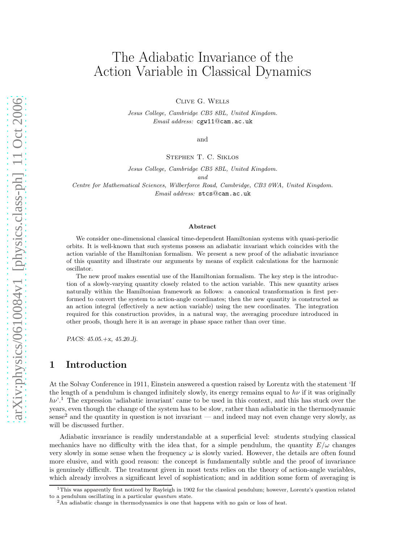# The Adiabatic Invariance of the Action Variable in Classical Dynamics

Clive G. Wells

*Jesus College, Cambridge CB5 8BL, United Kingdom. Email address:* cgw11@cam.ac.uk

and

Stephen T. C. Siklos

*Jesus College, Cambridge CB5 8BL, United Kingdom.*

*and*

*Centre for Mathematical Sciences, Wilberforce Road, Cambridge, CB3 0WA, United Kingdom. Email address:* stcs@cam.ac.uk

#### Abstract

We consider one-dimensional classical time-dependent Hamiltonian systems with quasi-periodic orbits. It is well-known that such systems possess an adiabatic invariant which coincides with the action variable of the Hamiltonian formalism. We present a new proof of the adiabatic invariance of this quantity and illustrate our arguments by means of explicit calculations for the harmonic oscillator.

The new proof makes essential use of the Hamiltonian formalism. The key step is the introduction of a slowly-varying quantity closely related to the action variable. This new quantity arises naturally within the Hamiltonian framework as follows: a canonical transformation is first performed to convert the system to action-angle coordinates; then the new quantity is constructed as an action integral (effectively a new action variable) using the new coordinates. The integration required for this construction provides, in a natural way, the averaging procedure introduced in other proofs, though here it is an average in phase space rather than over time.

*PACS: 45.05.+x, 45.20.Jj.*

#### 1 Introduction

At the Solvay Conference in 1911, Einstein answered a question raised by Lorentz with the statement 'If the length of a pendulum is changed infinitely slowly, its energy remains equal to  $h\nu$  if it was originally  $h\nu^{\prime}$ .<sup>1</sup> The expression 'adiabatic invariant' came to be used in this context, and this has stuck over the years, even though the change of the system has to be slow, rather than adiabatic in the thermodynamic sense<sup>2</sup> and the quantity in question is not invariant — and indeed may not even change very slowly, as will be discussed further.

Adiabatic invariance is readily understandable at a superficial level: students studying classical mechanics have no difficulty with the idea that, for a simple pendulum, the quantity  $E/\omega$  changes very slowly in some sense when the frequency  $\omega$  is slowly varied. However, the details are often found more elusive, and with good reason: the concept is fundamentally subtle and the proof of invariance is genuinely difficult. The treatment given in most texts relies on the theory of action-angle variables, which already involves a significant level of sophistication; and in addition some form of averaging is

 $1$ This was apparently first noticed by Rayleigh in 1902 for the classical pendulum; however, Lorentz's question related to a pendulum oscillating in a particular quantum state.

<sup>&</sup>lt;sup>2</sup>An adiabatic change in thermodynamics is one that happens with no gain or loss of heat.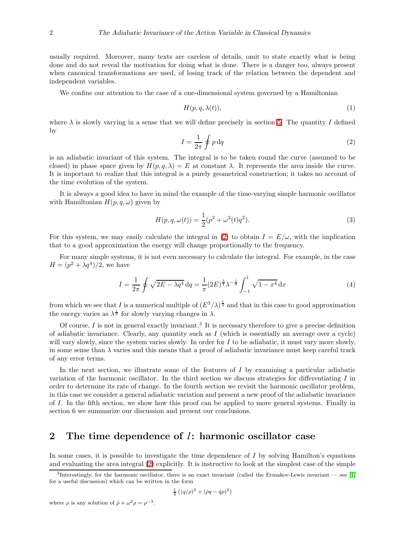usually required. Moreover, many texts are careless of details, omit to state exactly what is being done and do not reveal the motivation for doing what is done. There is a danger too, always present when canonical transformations are used, of losing track of the relation between the dependent and independent variables.

We confine our attention to the case of a one-dimensional system governed by a Hamiltonian

$$
H(p,q,\lambda(t)),\tag{1}
$$

<span id="page-1-0"></span>where  $\lambda$  is slowly varying in a sense that we will define precisely in section [5.](#page-5-0) The quantity I defined by

$$
I = \frac{1}{2\pi} \oint p \, dq \tag{2}
$$

is an adiabatic invariant of this system. The integral is to be taken round the curve (assumed to be closed) in phase space given by  $H(p,q,\lambda) = E$  at constant  $\lambda$ . It represents the area inside the curve. It is important to realize that this integral is a purely geometrical construction; it takes no account of the time evolution of the system.

It is always a good idea to have in mind the example of the time-varying simple harmonic oscillator with Hamiltonian  $H(p,q,\omega)$  given by

<span id="page-1-1"></span>
$$
H(p,q,\omega(t)) = \frac{1}{2}(p^2 + \omega^2(t)q^2).
$$
\n(3)

For this system, we may easily calculate the integral in [\(2\)](#page-1-0) to obtain  $I = E/\omega$ , with the implication that to a good approximation the energy will change proportionally to the frequency.

For many simple systems, it is not even necessary to calculate the integral. For example, in the case  $H = (p^2 + \lambda q^4)/2$ , we have

$$
I = \frac{1}{2\pi} \oint \sqrt{2E - \lambda q^4} \, dq = \frac{1}{\pi} (2E)^{\frac{3}{4}} \lambda^{-\frac{1}{4}} \int_{-1}^{1} \sqrt{1 - x^4} \, dx \tag{4}
$$

from which we see that I is a numerical multiple of  $(E^3/\lambda)^{\frac{1}{4}}$  and that in this case to good approximation the energy varies as  $\lambda^{\frac{1}{3}}$  for slowly varying changes in  $\lambda$ .

Of course,  $I$  is not in general exactly invariant.<sup>3</sup> It is necessary therefore to give a precise definition of adiabatic invariance. Clearly, any quantity such as  $I$  (which is essentially an average over a cycle) will vary slowly, since the system varies slowly. In order for  $I$  to be adiabatic, it must vary more slowly, in some sense than  $\lambda$  varies and this means that a proof of adiabatic invariance must keep careful track of any error terms.

In the next section, we illustrate some of the features of  $I$  by examining a particular adiabatic variation of the harmonic oscillator. In the third section we discuss strategies for differentiating  $I$  in order to determine its rate of change. In the fourth section we revisit the harmonic oscillator problem, in this case we consider a general adiabatic variation and present a new proof of the adiabatic invariance of I. In the fifth section, we show how this proof can be applied to more general systems. Finally in section 6 we summarize our discussion and present our conclusions.

#### <span id="page-1-2"></span>2 The time dependence of I: harmonic oscillator case

In some cases, it is possible to investigate the time dependence of I by solving Hamilton's equations and evaluating the area integral [\(2\)](#page-1-0) explicitly. It is instructive to look at the simplest case of the simple

$$
\tfrac{1}{2}\left((q/\rho)^2+(\dot{\rho}q-\dot{q}\rho)^2\right)
$$

where  $\rho$  is any solution of  $\ddot{\rho} + \omega^2 \rho = \rho^{-3}$ .

<sup>3</sup> Interestingly, for the harmonic oscillator, there is an exact invariant (called the Ermakov-Lewis invariant — see [\[1\]](#page-7-0) for a useful discussion) which can be written in the form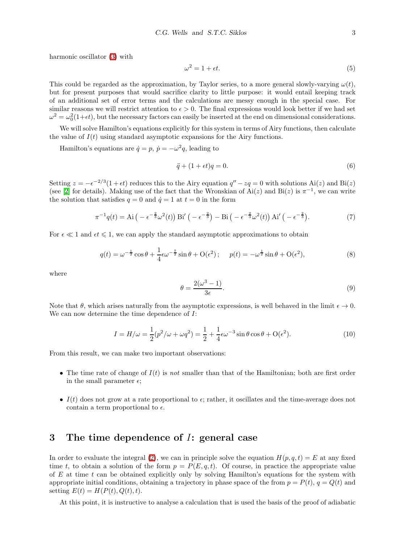harmonic oscillator [\(3\)](#page-1-1) with

$$
\omega^2 = 1 + \epsilon t. \tag{5}
$$

This could be regarded as the approximation, by Taylor series, to a more general slowly-varying  $\omega(t)$ , but for present purposes that would sacrifice clarity to little purpose: it would entail keeping track of an additional set of error terms and the calculations are messy enough in the special case. For similar reasons we will restrict attention to  $\epsilon > 0$ . The final expressions would look better if we had set  $\omega^2 = \omega_0^2(1+\epsilon t)$ , but the necessary factors can easily be inserted at the end on dimensional considerations.

We will solve Hamilton's equations explicitly for this system in terms of Airy functions, then calculate the value of  $I(t)$  using standard asymptotic expansions for the Airy functions.

Hamilton's equations are  $\dot{q} = p$ ,  $\dot{p} = -\omega^2 q$ , leading to

$$
\ddot{q} + (1 + \epsilon t)q = 0. \tag{6}
$$

Setting  $z = -\epsilon^{-2/3}(1 + \epsilon t)$  reduces this to the Airy equation  $q'' - zq = 0$  with solutions Ai(z) and Bi(z) (see [\[2\]](#page-7-1) for details). Making use of the fact that the Wronskian of  $\mathop{\rm Ai}(z)$  and  $\mathop{\rm Bi}(z)$  is  $\pi^{-1}$ , we can write the solution that satisfies  $q = 0$  and  $\dot{q} = 1$  at  $t = 0$  in the form

$$
\pi^{-1}q(t) = \text{Ai}\left(-\epsilon^{-\frac{2}{3}}\omega^2(t)\right)\text{Bi}'\left(-\epsilon^{-\frac{2}{3}}\right) - \text{Bi}\left(-\epsilon^{-\frac{2}{3}}\omega^2(t)\right)\text{Ai}'\left(-\epsilon^{-\frac{2}{3}}\right). \tag{7}
$$

For  $\epsilon \ll 1$  and  $\epsilon t \leq 1$ , we can apply the standard asymptotic approximations to obtain

$$
q(t) = \omega^{-\frac{1}{2}} \cos \theta + \frac{1}{4} \epsilon \omega^{-\frac{7}{2}} \sin \theta + O(\epsilon^2); \quad p(t) = -\omega^{\frac{1}{2}} \sin \theta + O(\epsilon^2), \tag{8}
$$

where

$$
\theta = \frac{2(\omega^3 - 1)}{3\epsilon}.\tag{9}
$$

Note that  $\theta$ , which arises naturally from the asymptotic expressions, is well behaved in the limit  $\epsilon \to 0$ . We can now determine the time dependence of I:

$$
I = H/\omega = \frac{1}{2}(p^2/\omega + \omega q^2) = \frac{1}{2} + \frac{1}{4}\epsilon\omega^{-3}\sin\theta\cos\theta + O(\epsilon^2). \tag{10}
$$

From this result, we can make two important observations:

- The time rate of change of  $I(t)$  is not smaller than that of the Hamiltonian; both are first order in the small parameter  $\epsilon$ ;
- I(t) does not grow at a rate proportional to  $\epsilon$ ; rather, it oscillates and the time-average does not contain a term proportional to  $\epsilon$ .

#### <span id="page-2-0"></span>3 The time dependence of I: general case

In order to evaluate the integral [\(2\)](#page-1-0), we can in principle solve the equation  $H(p, q, t) = E$  at any fixed time t, to obtain a solution of the form  $p = P(E, q, t)$ . Of course, in practice the appropriate value of  $E$  at time  $t$  can be obtained explicitly only by solving Hamilton's equations for the system with appropriate initial conditions, obtaining a trajectory in phase space of the from  $p = P(t)$ ,  $q = Q(t)$  and setting  $E(t) = H(P(t), Q(t), t)$ .

At this point, it is instructive to analyse a calculation that is used the basis of the proof of adiabatic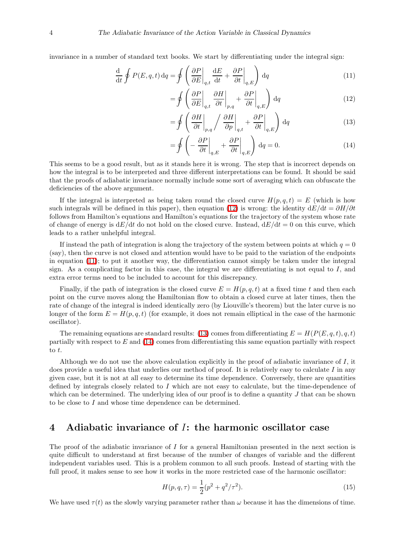invariance in a number of standard text books. We start by differentiating under the integral sign:

$$
\frac{\mathrm{d}}{\mathrm{d}t} \oint P(E, q, t) \,\mathrm{d}q = \oint \left( \frac{\partial P}{\partial E} \bigg|_{q,t} \frac{\mathrm{d}E}{\mathrm{d}t} + \frac{\partial P}{\partial t} \bigg|_{q,E} \right) \,\mathrm{d}q \tag{11}
$$

<span id="page-3-1"></span><span id="page-3-0"></span>
$$
= \oint \left( \frac{\partial P}{\partial E} \bigg|_{q,t} \frac{\partial H}{\partial t} \bigg|_{p,q} + \frac{\partial P}{\partial t} \bigg|_{q,E} \right) dq \tag{12}
$$

<span id="page-3-2"></span>
$$
= \oint \left( \frac{\partial H}{\partial t} \bigg|_{p,q} / \left. \frac{\partial H}{\partial p} \bigg|_{q,t} + \frac{\partial P}{\partial t} \bigg|_{q,E} \right) dq \tag{13}
$$

<span id="page-3-3"></span>
$$
= \oint \left( -\frac{\partial P}{\partial t} \bigg|_{q,E} + \frac{\partial P}{\partial t} \bigg|_{q,E} \right) dq = 0.
$$
 (14)

This seems to be a good result, but as it stands here it is wrong. The step that is incorrect depends on how the integral is to be interpreted and three different interpretations can be found. It should be said that the proofs of adiabatic invariance normally include some sort of averaging which can obfuscate the deficiencies of the above argument.

If the integral is interpreted as being taken round the closed curve  $H(p, q, t) = E$  (which is how such integrals will be defined in this paper), then equation [\(12\)](#page-3-0) is wrong: the identity  $dE/dt = \partial H/\partial t$ follows from Hamilton's equations and Hamilton's equations for the trajectory of the system whose rate of change of energy is  $dE/dt$  do not hold on the closed curve. Instead,  $dE/dt = 0$  on this curve, which leads to a rather unhelpful integral.

If instead the path of integration is along the trajectory of the system between points at which  $q = 0$ (say), then the curve is not closed and attention would have to be paid to the variation of the endpoints in equation [\(11\)](#page-3-1); to put it another way, the differentiation cannot simply be taken under the integral sign. As a complicating factor in this case, the integral we are differentiating is not equal to  $I$ , and extra error terms need to be included to account for this discrepancy.

Finally, if the path of integration is the closed curve  $E = H(p, q, t)$  at a fixed time t and then each point on the curve moves along the Hamiltonian flow to obtain a closed curve at later times, then the rate of change of the integral is indeed identically zero (by Liouville's theorem) but the later curve is no longer of the form  $E = H(p, q, t)$  (for example, it does not remain elliptical in the case of the harmonic oscillator).

The remaining equations are standard results: [\(13\)](#page-3-2) comes from differentiating  $E = H(P(E, q, t), q, t)$ partially with respect to E and [\(14\)](#page-3-3) comes from differentiating this same equation partially with respect to t.

Although we do not use the above calculation explicitly in the proof of adiabatic invariance of  $I$ , it does provide a useful idea that underlies our method of proof. It is relatively easy to calculate I in any given case, but it is not at all easy to determine its time dependence. Conversely, there are quantities defined by integrals closely related to I which are not easy to calculate, but the time-dependence of which can be determined. The underlying idea of our proof is to define a quantity  $J$  that can be shown to be close to I and whose time dependence can be determined.

### 4 Adiabatic invariance of I: the harmonic oscillator case

The proof of the adiabatic invariance of I for a general Hamiltonian presented in the next section is quite difficult to understand at first because of the number of changes of variable and the different independent variables used. This is a problem common to all such proofs. Instead of starting with the full proof, it makes sense to see how it works in the more restricted case of the harmonic oscillator:

<span id="page-3-4"></span>
$$
H(p,q,\tau) = \frac{1}{2}(p^2 + q^2/\tau^2). \tag{15}
$$

We have used  $\tau(t)$  as the slowly varying parameter rather than  $\omega$  because it has the dimensions of time.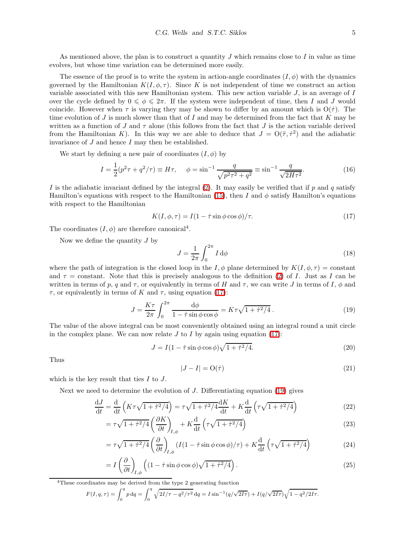As mentioned above, the plan is to construct a quantity  $J$  which remains close to  $I$  in value as time evolves, but whose time variation can be determined more easily.

The essence of the proof is to write the system in action-angle coordinates  $(I, \phi)$  with the dynamics governed by the Hamiltonian  $K(I, \phi, \tau)$ . Since K is not independent of time we construct an action variable associated with this new Hamiltonian system. This new action variable  $J$ , is an average of  $I$ over the cycle defined by  $0 \le \phi \le 2\pi$ . If the system were independent of time, then I and J would coincide. However when  $\tau$  is varying they may be shown to differ by an amount which is  $O(\tau)$ . The time evolution of  $J$  is much slower than that of  $I$  and may be determined from the fact that  $K$  may be written as a function of J and  $\tau$  alone (this follows from the fact that J is the action variable derived from the Hamiltonian K). In this way we are able to deduce that  $J = O(\tau, \tau^2)$  and the adiabatic invariance of  $J$  and hence  $I$  may then be established.

We start by defining a new pair of coordinates  $(I, \phi)$  by

<span id="page-4-0"></span>
$$
I = \frac{1}{2}(p^2 \tau + q^2/\tau) \equiv H\tau, \quad \phi = \sin^{-1}\frac{q}{\sqrt{p^2 \tau^2 + q^2}} \equiv \sin^{-1}\frac{q}{\sqrt{2H\tau^2}}.
$$
 (16)

I is the adiabatic invariant defined by the integral  $(2)$ . It may easily be verified that if p and q satisfy Hamilton's equations with respect to the Hamiltonian [\(15\)](#page-3-4), then I and  $\phi$  satisfy Hamilton's equations with respect to the Hamiltonian

$$
K(I, \phi, \tau) = I(1 - \dot{\tau} \sin \phi \cos \phi) / \tau.
$$
 (17)

The coordinates  $(I, \phi)$  are therefore canonical<sup>4</sup>.

Now we define the quantity  $J$  by

<span id="page-4-1"></span>
$$
J = \frac{1}{2\pi} \int_0^{2\pi} I \, \mathrm{d}\phi \tag{18}
$$

where the path of integration is the closed loop in the I,  $\phi$  plane determined by  $K(I, \phi, \tau) = constant$ and  $\tau$  = constant. Note that this is precisely analogous to the definition [\(2\)](#page-1-0) of I. Just as I can be written in terms of p, q and  $\tau$ , or equivalently in terms of H and  $\tau$ , we can write J in terms of I,  $\phi$  and  $\tau$ , or equivalently in terms of K and  $\tau$ , using equation [\(17\)](#page-4-0):

$$
J = \frac{K\tau}{2\pi} \int_0^{2\pi} \frac{\mathrm{d}\phi}{1 - \dot{\tau}\sin\phi\cos\phi} = K\tau\sqrt{1 + \dot{\tau}^2/4} \,. \tag{19}
$$

The value of the above integral can be most conveniently obtained using an integral round a unit circle in the complex plane. We can now relate  $J$  to  $I$  by again using equation [\(17\)](#page-4-0):

$$
J = I(1 - \dot{\tau}\sin\phi\cos\phi)\sqrt{1 + \dot{\tau}^2/4}.
$$
\n(20)

<span id="page-4-2"></span>Thus

$$
|J - I| = \mathcal{O}(\dot{\tau})\tag{21}
$$

which is the key result that ties  $I$  to  $J$ .

Next we need to determine the evolution of J. Differentiating equation [\(19\)](#page-4-1) gives

$$
\frac{dJ}{dt} = \frac{d}{dt} \left( K\tau \sqrt{1 + \dot{\tau}^2/4} \right) = \tau \sqrt{1 + \dot{\tau}^2/4} \frac{dK}{dt} + K \frac{d}{dt} \left( \tau \sqrt{1 + \dot{\tau}^2/4} \right)
$$
(22)

$$
= \tau \sqrt{1 + \dot{\tau}^2/4} \left(\frac{\partial K}{\partial t}\right)_{I,\phi} + K \frac{d}{dt} \left(\tau \sqrt{1 + \dot{\tau}^2/4}\right)
$$
(23)

$$
= \tau \sqrt{1 + \dot{\tau}^2/4} \left(\frac{\partial}{\partial t}\right)_{I,\phi} \left(I(1 - \dot{\tau}\sin\phi\cos\phi)/\tau\right) + K\frac{\mathrm{d}}{\mathrm{d}t} \left(\tau\sqrt{1 + \dot{\tau}^2/4}\right) \tag{24}
$$

$$
= I\left(\frac{\partial}{\partial t}\right)_{I,\phi} \left( (1 - \dot{\tau}\sin\phi\cos\phi)\sqrt{1 + \dot{\tau}^2/4} \right). \tag{25}
$$

<sup>4</sup>These coordinates may be derived from the type 2 generating function

$$
F(I,q,\tau) = \int_0^q p \, dq = \int_0^q \sqrt{2I/\tau - q^2/\tau^2} \, dq = I \sin^{-1}(q/\sqrt{2I\tau}) + I(q/\sqrt{2I\tau})\sqrt{1 - q^2/2I\tau}.
$$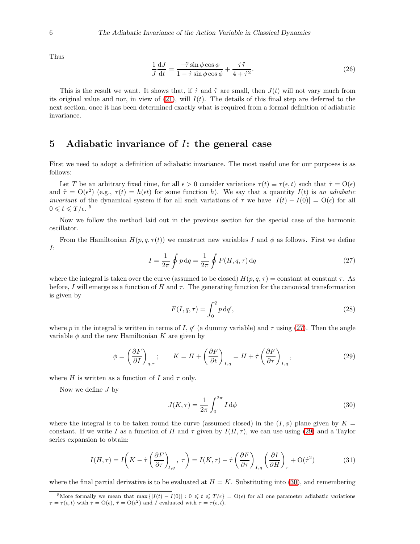Thus

$$
\frac{1}{J}\frac{dJ}{dt} = \frac{-\ddot{\tau}\sin\phi\cos\phi}{1-\dot{\tau}\sin\phi\cos\phi} + \frac{\dot{\tau}\ddot{\tau}}{4+\dot{\tau}^2}.
$$
\n(26)

This is the result we want. It shows that, if  $\tau$  and  $\ddot{\tau}$  are small, then  $J(t)$  will not vary much from its original value and nor, in view of  $(21)$ , will  $I(t)$ . The details of this final step are deferred to the next section, once it has been determined exactly what is required from a formal definition of adiabatic invariance.

#### <span id="page-5-0"></span>5 Adiabatic invariance of I: the general case

First we need to adopt a definition of adiabatic invariance. The most useful one for our purposes is as follows:

Let T be an arbitrary fixed time, for all  $\epsilon > 0$  consider variations  $\tau(t) \equiv \tau(\epsilon, t)$  such that  $\dot{\tau} = O(\epsilon)$ and  $\ddot{\tau} = O(\epsilon^2)$  (e.g.,  $\tau(t) = h(\epsilon t)$  for some function h). We say that a quantity  $I(t)$  is an adiabatic *invariant* of the dynamical system if for all such variations of  $\tau$  we have  $|I(t) - I(0)| = O(\epsilon)$  for all  $0 \leqslant t \leqslant T/\epsilon$ .<sup>5</sup>

Now we follow the method laid out in the previous section for the special case of the harmonic oscillator.

<span id="page-5-1"></span>From the Hamiltonian  $H(p, q, \tau(t))$  we construct new variables I and  $\phi$  as follows. First we define I:

$$
I = \frac{1}{2\pi} \oint p \, dq = \frac{1}{2\pi} \oint P(H, q, \tau) \, dq \tag{27}
$$

where the integral is taken over the curve (assumed to be closed)  $H(p, q, \tau) = constant$  at constant  $\tau$ . As before, I will emerge as a function of H and  $\tau$ . The generating function for the canonical transformation is given by

<span id="page-5-2"></span>
$$
F(I,q,\tau) = \int_0^q p \, \mathrm{d}q',\tag{28}
$$

where p in the integral is written in terms of I, q' (a dummy variable) and  $\tau$  using [\(27\)](#page-5-1). Then the angle variable  $\phi$  and the new Hamiltonian K are given by

$$
\phi = \left(\frac{\partial F}{\partial I}\right)_{q,\tau}; \qquad K = H + \left(\frac{\partial F}{\partial t}\right)_{I,q} = H + \dot{\tau} \left(\frac{\partial F}{\partial \tau}\right)_{I,q},\tag{29}
$$

where H is written as a function of I and  $\tau$  only.

<span id="page-5-3"></span>Now we define  $J$  by

$$
J(K,\tau) = \frac{1}{2\pi} \int_0^{2\pi} I \,\mathrm{d}\phi \tag{30}
$$

where the integral is to be taken round the curve (assumed closed) in the  $(I, \phi)$  plane given by  $K =$ constant. If we write I as a function of H and  $\tau$  given by  $I(H, \tau)$ , we can use using [\(29\)](#page-5-2) and a Taylor series expansion to obtain:

$$
I(H,\tau) = I\left(K - \dot{\tau}\left(\frac{\partial F}{\partial \tau}\right)_{I,q}, \tau\right) = I(K,\tau) - \dot{\tau}\left(\frac{\partial F}{\partial \tau}\right)_{I,q} \left(\frac{\partial I}{\partial H}\right)_{\tau} + O(\dot{\tau}^2)
$$
(31)

where the final partial derivative is to be evaluated at  $H = K$ . Substituting into [\(30\)](#page-5-3), and remembering

<sup>&</sup>lt;sup>5</sup>More formally we mean that max  $\{|I(t) - I(0)| : 0 \leq t \leq T/\epsilon\} = O(\epsilon)$  for all one parameter adiabatic variations  $\tau = \tau(\epsilon, t)$  with  $\tau = O(\epsilon)$ ,  $\tau = O(\epsilon^2)$  and I evaluated with  $\tau = \tau(\epsilon, t)$ .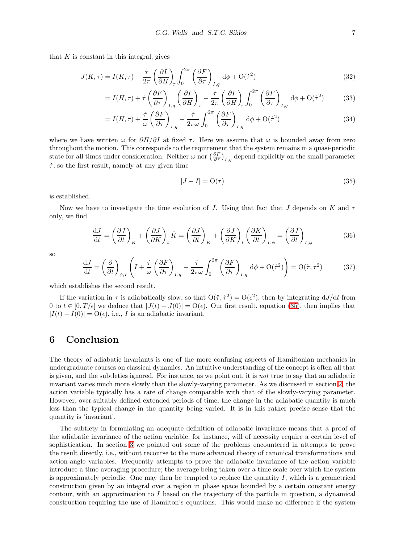that  $K$  is constant in this integral, gives

$$
J(K,\tau) = I(K,\tau) - \frac{\dot{\tau}}{2\pi} \left(\frac{\partial I}{\partial H}\right)_{\tau} \int_0^{2\pi} \left(\frac{\partial F}{\partial \tau}\right)_{I,q} d\phi + O(\dot{\tau}^2)
$$
(32)

$$
= I(H,\tau) + \dot{\tau} \left(\frac{\partial F}{\partial \tau}\right)_{I,q} \left(\frac{\partial I}{\partial H}\right)_{\tau} - \frac{\dot{\tau}}{2\pi} \left(\frac{\partial I}{\partial H}\right)_{\tau} \int_0^{2\pi} \left(\frac{\partial F}{\partial \tau}\right)_{I,q} d\phi + O(\dot{\tau}^2)
$$
(33)

$$
= I(H,\tau) + \frac{\dot{\tau}}{\omega} \left(\frac{\partial F}{\partial \tau}\right)_{I,q} - \frac{\dot{\tau}}{2\pi\omega} \int_0^{2\pi} \left(\frac{\partial F}{\partial \tau}\right)_{I,q} d\phi + O(\dot{\tau}^2)
$$
(34)

where we have written  $\omega$  for  $\partial H/\partial I$  at fixed  $\tau$ . Here we assume that  $\omega$  is bounded away from zero throughout the motion. This corresponds to the requirement that the system remains in a quasi-periodic state for all times under consideration. Neither  $\omega$  nor  $(\frac{\partial F}{\partial \tau})_{I,q}$  depend explicitly on the small parameter  $\dot{\tau}$ , so the first result, namely at any given time

<span id="page-6-0"></span>
$$
|J - I| = \mathcal{O}(\dot{\tau})\tag{35}
$$

is established.

Now we have to investigate the time evolution of J. Using that fact that J depends on K and  $\tau$ only, we find

$$
\frac{\mathrm{d}J}{\mathrm{d}t} = \left(\frac{\partial J}{\partial t}\right)_K + \left(\frac{\partial J}{\partial K}\right)_t \dot{K} = \left(\frac{\partial J}{\partial t}\right)_K + \left(\frac{\partial J}{\partial K}\right)_t \left(\frac{\partial K}{\partial t}\right)_{I,\phi} = \left(\frac{\partial J}{\partial t}\right)_{I,\phi}
$$
(36)

so

$$
\frac{\mathrm{d}J}{\mathrm{d}t} = \left(\frac{\partial}{\partial t}\right)_{\phi,I} \left(I + \frac{\dot{\tau}}{\omega} \left(\frac{\partial F}{\partial \tau}\right)_{I,q} - \frac{\dot{\tau}}{2\pi\omega} \int_0^{2\pi} \left(\frac{\partial F}{\partial \tau}\right)_{I,q} \mathrm{d}\phi + \mathcal{O}(\dot{\tau}^2)\right) = \mathcal{O}(\ddot{\tau}, \dot{\tau}^2) \tag{37}
$$

which establishes the second result.

If the variation in  $\tau$  is adiabatically slow, so that  $O(\tau, \tau^2) = O(\epsilon^2)$ , then by integrating  $dJ/dt$  from 0 to  $t \in [0, T/\epsilon]$  we deduce that  $|J(t) - J(0)| = O(\epsilon)$ . Our first result, equation [\(35\)](#page-6-0), then implies that  $|I(t) - I(0)| = O(\epsilon)$ , i.e., I is an adiabatic invariant.

#### 6 Conclusion

The theory of adiabatic invariants is one of the more confusing aspects of Hamiltonian mechanics in undergraduate courses on classical dynamics. An intuitive understanding of the concept is often all that is given, and the subtleties ignored. For instance, as we point out, it is not true to say that an adiabatic invariant varies much more slowly than the slowly-varying parameter. As we discussed in section [2,](#page-1-2) the action variable typically has a rate of change comparable with that of the slowly-varying parameter. However, over suitably defined extended periods of time, the change in the adiabatic quantity is much less than the typical change in the quantity being varied. It is in this rather precise sense that the quantity is 'invariant'.

The subtlety in formulating an adequate definition of adiabatic invariance means that a proof of the adiabatic invariance of the action variable, for instance, will of necessity require a certain level of sophistication. In section [3](#page-2-0) we pointed out some of the problems encountered in attempts to prove the result directly, i.e., without recourse to the more advanced theory of canonical transformations and action-angle variables. Frequently attempts to prove the adiabatic invariance of the action variable introduce a time averaging procedure; the average being taken over a time scale over which the system is approximately periodic. One may then be tempted to replace the quantity  $I$ , which is a geometrical construction given by an integral over a region in phase space bounded by a certain constant energy contour, with an approximation to  $I$  based on the trajectory of the particle in question, a dynamical construction requiring the use of Hamilton's equations. This would make no difference if the system